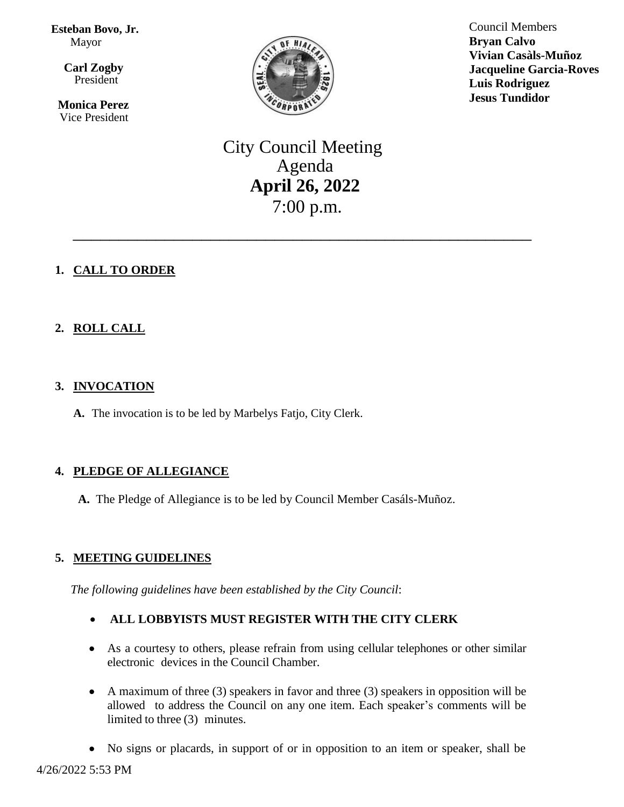**Esteban Bovo, Jr.**  Mayor

 $\overline{\mathbf{a}}$  **Carl Zogby** President

> **Monica Perez** Vice President



Council Members **Bryan Calvo Vivian Casàls-Muñoz Jacqueline Garcia-Roves Luis Rodriguez Jesus Tundidor**

City Council Meeting Agenda **April 26, 2022** 7:00 p.m.

\_\_\_\_\_\_\_\_\_\_\_\_\_\_\_\_\_\_\_\_\_\_\_\_\_\_\_\_\_\_\_\_\_\_\_\_\_\_\_\_\_\_\_\_\_\_\_\_\_\_

# **1. CALL TO ORDER**

# **2. ROLL CALL**

## **3. INVOCATION**

**A.** The invocation is to be led by Marbelys Fatjo, City Clerk.

#### **4. PLEDGE OF ALLEGIANCE**

**A.** The Pledge of Allegiance is to be led by Council Member Casáls-Muñoz.

#### **5. MEETING GUIDELINES**

*The following guidelines have been established by the City Council*:

#### **ALL LOBBYISTS MUST REGISTER WITH THE CITY CLERK**

- As a courtesy to others, please refrain from using cellular telephones or other similar electronic devices in the Council Chamber.
- A maximum of three (3) speakers in favor and three (3) speakers in opposition will be allowed to address the Council on any one item. Each speaker's comments will be limited to three (3) minutes.
- No signs or placards, in support of or in opposition to an item or speaker, shall be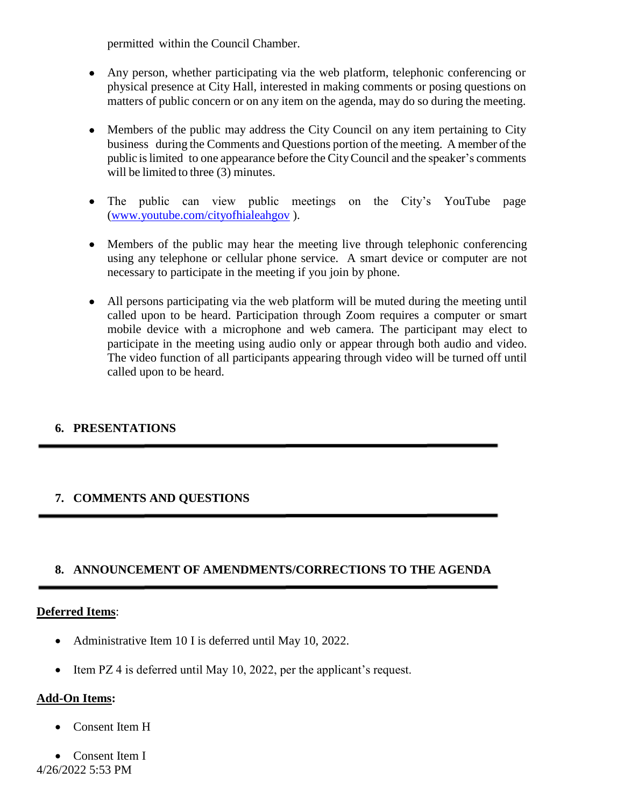permitted within the Council Chamber.

- Any person, whether participating via the web platform, telephonic conferencing or physical presence at City Hall, interested in making comments or posing questions on matters of public concern or on any item on the agenda, may do so during the meeting.
- Members of the public may address the City Council on any item pertaining to City business during the Comments and Questions portion of the meeting. A member of the public islimited to one appearance before the CityCouncil and the speaker's comments will be limited to three (3) minutes.
- The public can view public meetings on the City's YouTube page [\(www.youtube.com/cityofhialeahgov](http://www.youtube.com/cityofhialeahgov) ).
- Members of the public may hear the meeting live through telephonic conferencing using any telephone or cellular phone service. A smart device or computer are not necessary to participate in the meeting if you join by phone.
- All persons participating via the web platform will be muted during the meeting until called upon to be heard. Participation through Zoom requires a computer or smart mobile device with a microphone and web camera. The participant may elect to participate in the meeting using audio only or appear through both audio and video. The video function of all participants appearing through video will be turned off until called upon to be heard.

#### **6. PRESENTATIONS**

#### **7. COMMENTS AND QUESTIONS**

#### **8. ANNOUNCEMENT OF AMENDMENTS/CORRECTIONS TO THE AGENDA**

#### **Deferred Items**:

- Administrative Item 10 I is deferred until May 10, 2022.
- Item PZ 4 is deferred until May 10, 2022, per the applicant's request.

#### **Add-On Items:**

- Consent Item H
- 4/26/2022 5:53 PM • Consent Item I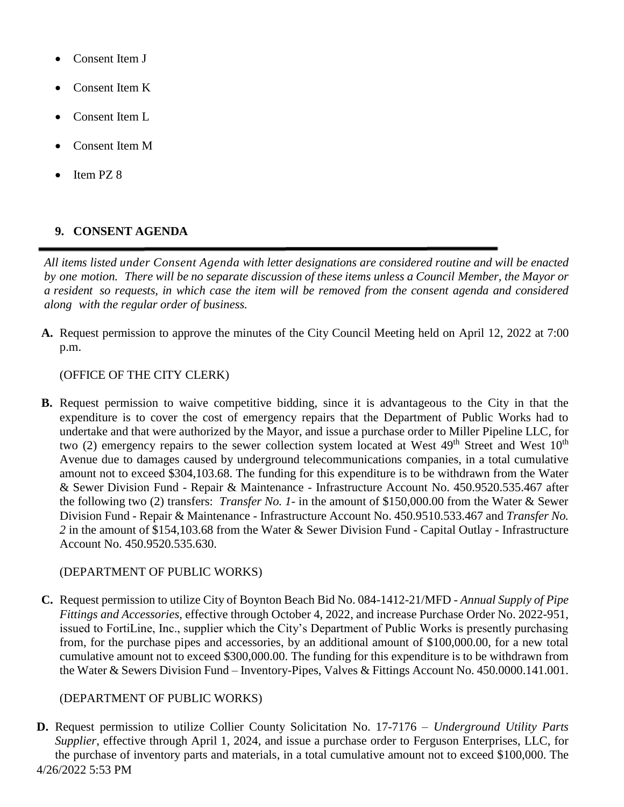- Consent Item J
- Consent Item K
- Consent Item L
- Consent Item M
- Item PZ 8

#### **9. CONSENT AGENDA**

*All items listed under Consent Agenda with letter designations are considered routine and will be enacted* by one motion. There will be no separate discussion of these items unless a Council Member, the Mayor or a resident so requests, in which case the item will be removed from the consent agenda and considered *along with the regular order of business.*

**A.** Request permission to approve the minutes of the City Council Meeting held on April 12, 2022 at 7:00 p.m.

#### (OFFICE OF THE CITY CLERK)

**B.** Request permission to waive competitive bidding, since it is advantageous to the City in that the expenditure is to cover the cost of emergency repairs that the Department of Public Works had to undertake and that were authorized by the Mayor, and issue a purchase order to Miller Pipeline LLC, for two (2) emergency repairs to the sewer collection system located at West  $49<sup>th</sup>$  Street and West  $10<sup>th</sup>$ Avenue due to damages caused by underground telecommunications companies, in a total cumulative amount not to exceed \$304,103.68. The funding for this expenditure is to be withdrawn from the Water & Sewer Division Fund - Repair & Maintenance - Infrastructure Account No. 450.9520.535.467 after the following two (2) transfers: *Transfer No. 1*- in the amount of \$150,000.00 from the Water & Sewer Division Fund - Repair & Maintenance - Infrastructure Account No. 450.9510.533.467 and *Transfer No. 2* in the amount of \$154,103.68 from the Water & Sewer Division Fund - Capital Outlay - Infrastructure Account No. 450.9520.535.630.

#### (DEPARTMENT OF PUBLIC WORKS)

**C.** Request permission to utilize City of Boynton Beach Bid No. 084-1412-21/MFD - *Annual Supply of Pipe Fittings and Accessories,* effective through October 4, 2022, and increase Purchase Order No. 2022-951, issued to FortiLine, Inc., supplier which the City's Department of Public Works is presently purchasing from, for the purchase pipes and accessories, by an additional amount of \$100,000.00, for a new total cumulative amount not to exceed \$300,000.00. The funding for this expenditure is to be withdrawn from the Water & Sewers Division Fund – Inventory-Pipes, Valves & Fittings Account No. 450.0000.141.001.

#### (DEPARTMENT OF PUBLIC WORKS)

4/26/2022 5:53 PM **D.** Request permission to utilize Collier County Solicitation No. 17-7176 – *Underground Utility Parts Supplier*, effective through April 1, 2024, and issue a purchase order to Ferguson Enterprises, LLC, for the purchase of inventory parts and materials, in a total cumulative amount not to exceed \$100,000. The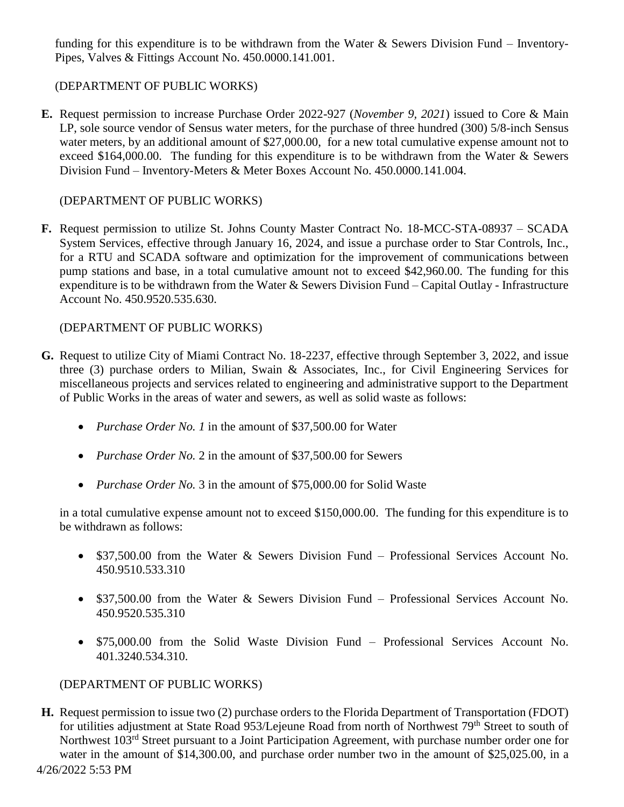funding for this expenditure is to be withdrawn from the Water & Sewers Division Fund – Inventory-Pipes, Valves & Fittings Account No. 450.0000.141.001.

## (DEPARTMENT OF PUBLIC WORKS)

**E.** Request permission to increase Purchase Order 2022-927 (*November 9, 2021*) issued to Core & Main LP, sole source vendor of Sensus water meters, for the purchase of three hundred (300) 5/8-inch Sensus water meters, by an additional amount of \$27,000.00, for a new total cumulative expense amount not to exceed \$164,000.00. The funding for this expenditure is to be withdrawn from the Water & Sewers Division Fund – Inventory-Meters & Meter Boxes Account No. 450.0000.141.004.

## (DEPARTMENT OF PUBLIC WORKS)

**F.** Request permission to utilize St. Johns County Master Contract No. 18-MCC-STA-08937 – SCADA System Services, effective through January 16, 2024, and issue a purchase order to Star Controls, Inc., for a RTU and SCADA software and optimization for the improvement of communications between pump stations and base, in a total cumulative amount not to exceed \$42,960.00. The funding for this expenditure is to be withdrawn from the Water & Sewers Division Fund – Capital Outlay - Infrastructure Account No. 450.9520.535.630.

## (DEPARTMENT OF PUBLIC WORKS)

- **G.** Request to utilize City of Miami Contract No. 18-2237, effective through September 3, 2022, and issue three (3) purchase orders to Milian, Swain & Associates, Inc., for Civil Engineering Services for miscellaneous projects and services related to engineering and administrative support to the Department of Public Works in the areas of water and sewers, as well as solid waste as follows:
	- *Purchase Order No. 1* in the amount of \$37,500.00 for Water
	- *Purchase Order No.* 2 in the amount of \$37,500.00 for Sewers
	- *Purchase Order No.* 3 in the amount of \$75,000.00 for Solid Waste

in a total cumulative expense amount not to exceed \$150,000.00. The funding for this expenditure is to be withdrawn as follows:

- \$37,500.00 from the Water & Sewers Division Fund Professional Services Account No. 450.9510.533.310
- \$37,500.00 from the Water & Sewers Division Fund Professional Services Account No. 450.9520.535.310
- \$75,000.00 from the Solid Waste Division Fund Professional Services Account No. 401.3240.534.310.

#### (DEPARTMENT OF PUBLIC WORKS)

4/26/2022 5:53 PM **H.** Request permission to issue two (2) purchase orders to the Florida Department of Transportation (FDOT) for utilities adjustment at State Road 953/Lejeune Road from north of Northwest 79<sup>th</sup> Street to south of Northwest 103<sup>rd</sup> Street pursuant to a Joint Participation Agreement, with purchase number order one for water in the amount of \$14,300.00, and purchase order number two in the amount of \$25,025.00, in a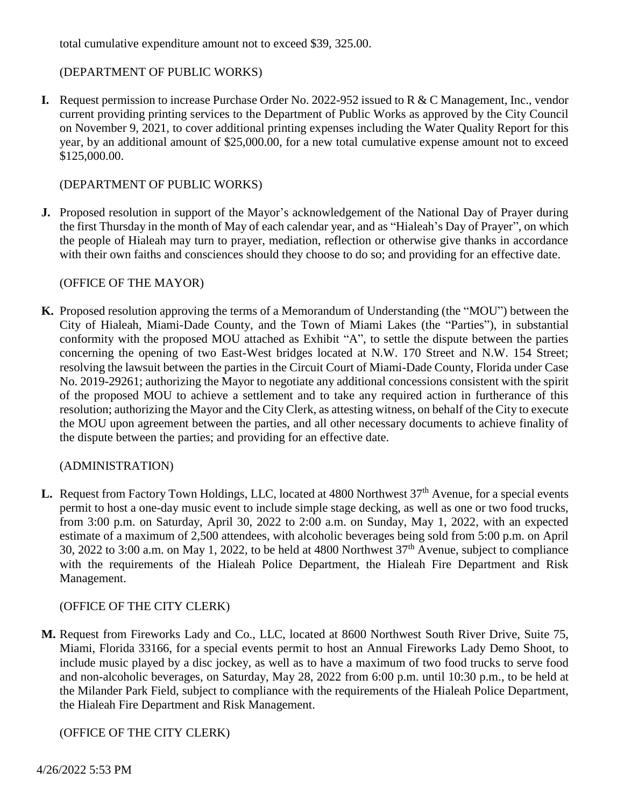total cumulative expenditure amount not to exceed \$39, 325.00.

## (DEPARTMENT OF PUBLIC WORKS)

**I.** Request permission to increase Purchase Order No. 2022-952 issued to R & C Management, Inc., vendor current providing printing services to the Department of Public Works as approved by the City Council on November 9, 2021, to cover additional printing expenses including the Water Quality Report for this year, by an additional amount of \$25,000.00, for a new total cumulative expense amount not to exceed \$125,000.00.

## (DEPARTMENT OF PUBLIC WORKS)

**J.** Proposed resolution in support of the Mayor's acknowledgement of the National Day of Prayer during the first Thursday in the month of May of each calendar year, and as "Hialeah's Day of Prayer", on which the people of Hialeah may turn to prayer, mediation, reflection or otherwise give thanks in accordance with their own faiths and consciences should they choose to do so; and providing for an effective date.

#### (OFFICE OF THE MAYOR)

**K.** Proposed resolution approving the terms of a Memorandum of Understanding (the "MOU") between the City of Hialeah, Miami-Dade County, and the Town of Miami Lakes (the "Parties"), in substantial conformity with the proposed MOU attached as Exhibit "A", to settle the dispute between the parties concerning the opening of two East-West bridges located at N.W. 170 Street and N.W. 154 Street; resolving the lawsuit between the parties in the Circuit Court of Miami-Dade County, Florida under Case No. 2019-29261; authorizing the Mayor to negotiate any additional concessions consistent with the spirit of the proposed MOU to achieve a settlement and to take any required action in furtherance of this resolution; authorizing the Mayor and the City Clerk, as attesting witness, on behalf of the City to execute the MOU upon agreement between the parties, and all other necessary documents to achieve finality of the dispute between the parties; and providing for an effective date.

#### (ADMINISTRATION)

**L.** Request from Factory Town Holdings, LLC, located at 4800 Northwest 37<sup>th</sup> Avenue, for a special events permit to host a one-day music event to include simple stage decking, as well as one or two food trucks, from 3:00 p.m. on Saturday, April 30, 2022 to 2:00 a.m. on Sunday, May 1, 2022, with an expected estimate of a maximum of 2,500 attendees, with alcoholic beverages being sold from 5:00 p.m. on April 30, 2022 to 3:00 a.m. on May 1, 2022, to be held at 4800 Northwest  $37<sup>th</sup>$  Avenue, subject to compliance with the requirements of the Hialeah Police Department, the Hialeah Fire Department and Risk Management.

#### (OFFICE OF THE CITY CLERK)

**M.** Request from Fireworks Lady and Co., LLC, located at 8600 Northwest South River Drive, Suite 75, Miami, Florida 33166, for a special events permit to host an Annual Fireworks Lady Demo Shoot, to include music played by a disc jockey, as well as to have a maximum of two food trucks to serve food and non-alcoholic beverages, on Saturday, May 28, 2022 from 6:00 p.m. until 10:30 p.m., to be held at the Milander Park Field, subject to compliance with the requirements of the Hialeah Police Department, the Hialeah Fire Department and Risk Management.

#### (OFFICE OF THE CITY CLERK)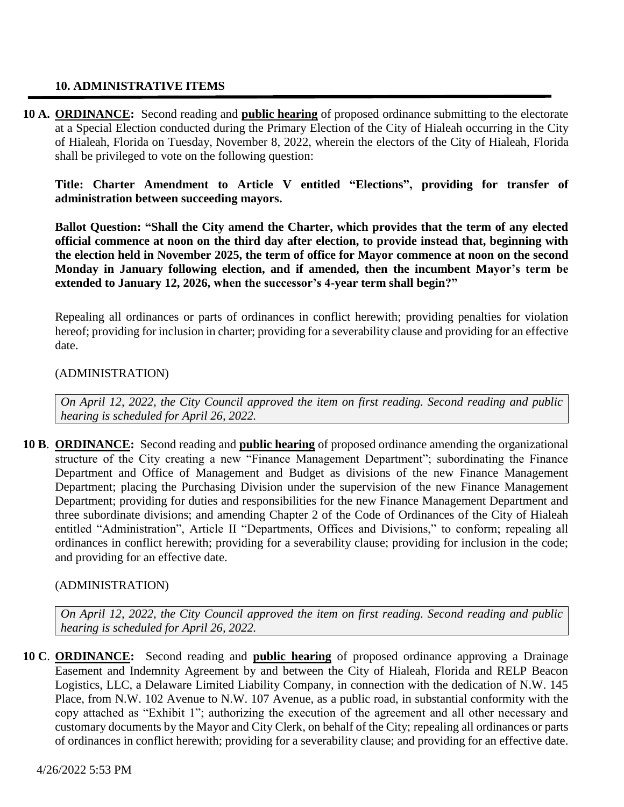#### **10. ADMINISTRATIVE ITEMS**

**10 A. ORDINANCE:** Second reading and **public hearing** of proposed ordinance submitting to the electorate at a Special Election conducted during the Primary Election of the City of Hialeah occurring in the City of Hialeah, Florida on Tuesday, November 8, 2022, wherein the electors of the City of Hialeah, Florida shall be privileged to vote on the following question:

**Title: Charter Amendment to Article V entitled "Elections", providing for transfer of administration between succeeding mayors.**

**Ballot Question: "Shall the City amend the Charter, which provides that the term of any elected official commence at noon on the third day after election, to provide instead that, beginning with the election held in November 2025, the term of office for Mayor commence at noon on the second Monday in January following election, and if amended, then the incumbent Mayor's term be extended to January 12, 2026, when the successor's 4-year term shall begin?"**

Repealing all ordinances or parts of ordinances in conflict herewith; providing penalties for violation hereof; providing for inclusion in charter; providing for a severability clause and providing for an effective date.

#### (ADMINISTRATION)

*On April 12, 2022, the City Council approved the item on first reading. Second reading and public hearing is scheduled for April 26, 2022.*

**10 B**. **ORDINANCE:** Second reading and **public hearing** of proposed ordinance amending the organizational structure of the City creating a new "Finance Management Department"; subordinating the Finance Department and Office of Management and Budget as divisions of the new Finance Management Department; placing the Purchasing Division under the supervision of the new Finance Management Department; providing for duties and responsibilities for the new Finance Management Department and three subordinate divisions; and amending Chapter 2 of the Code of Ordinances of the City of Hialeah entitled "Administration", Article II "Departments, Offices and Divisions," to conform; repealing all ordinances in conflict herewith; providing for a severability clause; providing for inclusion in the code; and providing for an effective date.

#### (ADMINISTRATION)

*On April 12, 2022, the City Council approved the item on first reading. Second reading and public hearing is scheduled for April 26, 2022.*

**10 C**. **ORDINANCE:** Second reading and **public hearing** of proposed ordinance approving a Drainage Easement and Indemnity Agreement by and between the City of Hialeah, Florida and RELP Beacon Logistics, LLC, a Delaware Limited Liability Company, in connection with the dedication of N.W. 145 Place, from N.W. 102 Avenue to N.W. 107 Avenue, as a public road, in substantial conformity with the copy attached as "Exhibit 1"; authorizing the execution of the agreement and all other necessary and customary documents by the Mayor and City Clerk, on behalf of the City; repealing all ordinances or parts of ordinances in conflict herewith; providing for a severability clause; and providing for an effective date.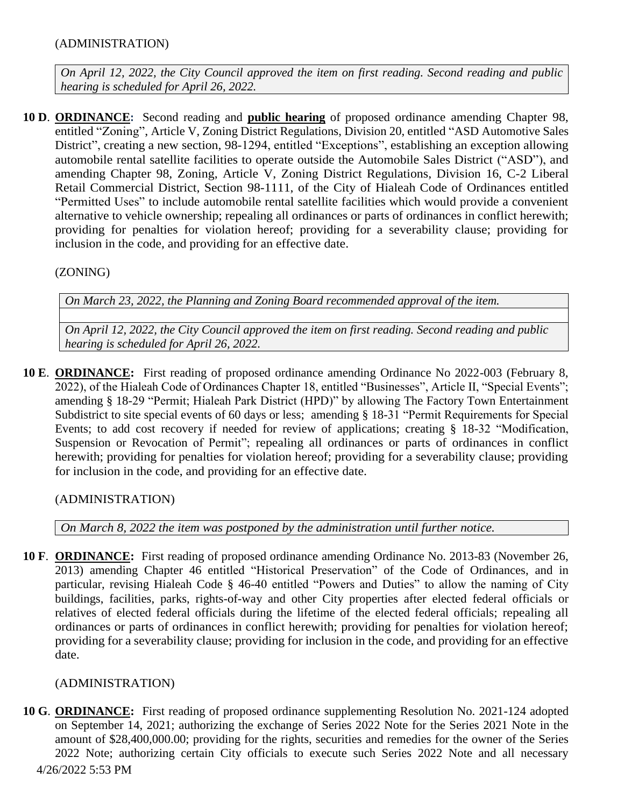## (ADMINISTRATION)

*On April 12, 2022, the City Council approved the item on first reading. Second reading and public hearing is scheduled for April 26, 2022.*

**10 D**. **ORDINANCE:** Second reading and **public hearing** of proposed ordinance amending Chapter 98, entitled "Zoning", Article V, Zoning District Regulations, Division 20, entitled "ASD Automotive Sales District", creating a new section, 98-1294, entitled "Exceptions", establishing an exception allowing automobile rental satellite facilities to operate outside the Automobile Sales District ("ASD"), and amending Chapter 98, Zoning, Article V, Zoning District Regulations, Division 16, C-2 Liberal Retail Commercial District, Section 98-1111, of the City of Hialeah Code of Ordinances entitled "Permitted Uses" to include automobile rental satellite facilities which would provide a convenient alternative to vehicle ownership; repealing all ordinances or parts of ordinances in conflict herewith; providing for penalties for violation hereof; providing for a severability clause; providing for inclusion in the code, and providing for an effective date.

(ZONING)

*On March 23, 2022, the Planning and Zoning Board recommended approval of the item.*

*On April 12, 2022, the City Council approved the item on first reading. Second reading and public hearing is scheduled for April 26, 2022.*

**10 E**. **ORDINANCE:** First reading of proposed ordinance amending Ordinance No 2022-003 (February 8, 2022), of the Hialeah Code of Ordinances Chapter 18, entitled "Businesses", Article II, "Special Events"; amending § 18-29 "Permit; Hialeah Park District (HPD)" by allowing The Factory Town Entertainment Subdistrict to site special events of 60 days or less; amending § 18-31 "Permit Requirements for Special Events; to add cost recovery if needed for review of applications; creating § 18-32 "Modification, Suspension or Revocation of Permit"; repealing all ordinances or parts of ordinances in conflict herewith; providing for penalties for violation hereof; providing for a severability clause; providing for inclusion in the code, and providing for an effective date.

(ADMINISTRATION)

*On March 8, 2022 the item was postponed by the administration until further notice.*

**10 F**. **ORDINANCE:** First reading of proposed ordinance amending Ordinance No. 2013-83 (November 26, 2013) amending Chapter 46 entitled "Historical Preservation" of the Code of Ordinances, and in particular, revising Hialeah Code § 46-40 entitled "Powers and Duties" to allow the naming of City buildings, facilities, parks, rights-of-way and other City properties after elected federal officials or relatives of elected federal officials during the lifetime of the elected federal officials; repealing all ordinances or parts of ordinances in conflict herewith; providing for penalties for violation hereof; providing for a severability clause; providing for inclusion in the code, and providing for an effective date.

# (ADMINISTRATION)

4/26/2022 5:53 PM **10 G**. **ORDINANCE:** First reading of proposed ordinance supplementing Resolution No. 2021-124 adopted on September 14, 2021; authorizing the exchange of Series 2022 Note for the Series 2021 Note in the amount of \$28,400,000.00; providing for the rights, securities and remedies for the owner of the Series 2022 Note; authorizing certain City officials to execute such Series 2022 Note and all necessary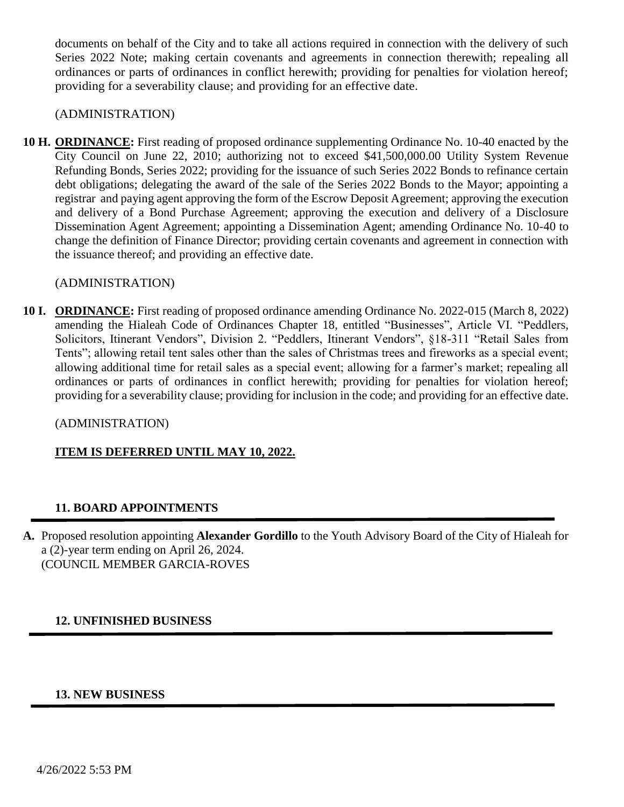documents on behalf of the City and to take all actions required in connection with the delivery of such Series 2022 Note; making certain covenants and agreements in connection therewith; repealing all ordinances or parts of ordinances in conflict herewith; providing for penalties for violation hereof; providing for a severability clause; and providing for an effective date.

#### (ADMINISTRATION)

**10 H. ORDINANCE:** First reading of proposed ordinance supplementing Ordinance No. 10-40 enacted by the City Council on June 22, 2010; authorizing not to exceed \$41,500,000.00 Utility System Revenue Refunding Bonds, Series 2022; providing for the issuance of such Series 2022 Bonds to refinance certain debt obligations; delegating the award of the sale of the Series 2022 Bonds to the Mayor; appointing a registrar and paying agent approving the form of the Escrow Deposit Agreement; approving the execution and delivery of a Bond Purchase Agreement; approving the execution and delivery of a Disclosure Dissemination Agent Agreement; appointing a Dissemination Agent; amending Ordinance No. 10-40 to change the definition of Finance Director; providing certain covenants and agreement in connection with the issuance thereof; and providing an effective date.

#### (ADMINISTRATION)

**10 I. ORDINANCE:** First reading of proposed ordinance amending Ordinance No. 2022-015 (March 8, 2022) amending the Hialeah Code of Ordinances Chapter 18, entitled "Businesses", Article VI. "Peddlers, Solicitors, Itinerant Vendors", Division 2. "Peddlers, Itinerant Vendors", §18-311 "Retail Sales from Tents"; allowing retail tent sales other than the sales of Christmas trees and fireworks as a special event; allowing additional time for retail sales as a special event; allowing for a farmer's market; repealing all ordinances or parts of ordinances in conflict herewith; providing for penalties for violation hereof; providing for a severability clause; providing for inclusion in the code; and providing for an effective date.

#### (ADMINISTRATION)

#### **ITEM IS DEFERRED UNTIL MAY 10, 2022.**

#### **11. BOARD APPOINTMENTS**

**A.** Proposed resolution appointing **Alexander Gordillo** to the Youth Advisory Board of the City of Hialeah for a (2)-year term ending on April 26, 2024. (COUNCIL MEMBER GARCIA-ROVES

#### **12. UNFINISHED BUSINESS**

#### **13. NEW BUSINESS**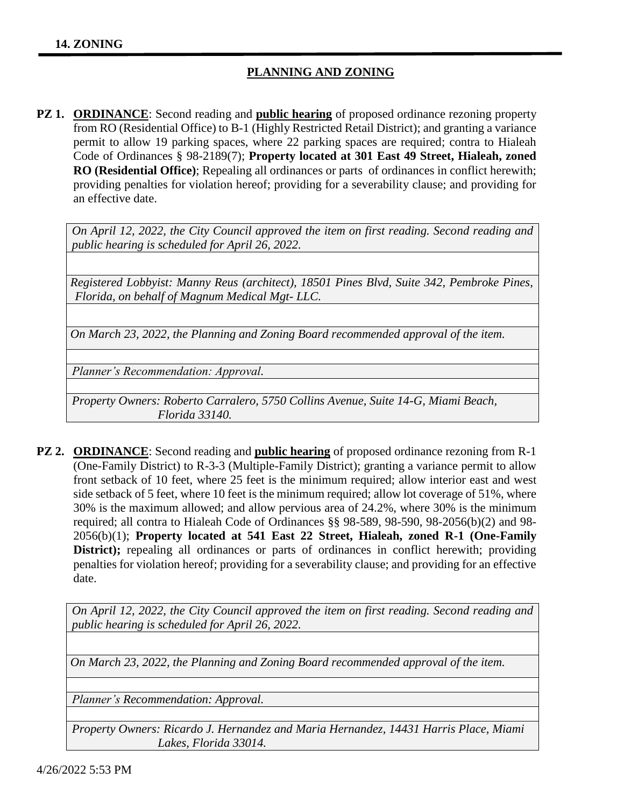# **PLANNING AND ZONING**

**PZ 1. ORDINANCE:** Second reading and **public hearing** of proposed ordinance rezoning property from RO (Residential Office) to B-1 (Highly Restricted Retail District); and granting a variance permit to allow 19 parking spaces, where 22 parking spaces are required; contra to Hialeah Code of Ordinances § 98-2189(7); **Property located at 301 East 49 Street, Hialeah, zoned RO (Residential Office)**; Repealing all ordinances or parts of ordinances in conflict herewith; providing penalties for violation hereof; providing for a severability clause; and providing for an effective date.

*On April 12, 2022, the City Council approved the item on first reading. Second reading and public hearing is scheduled for April 26, 2022.*

*Registered Lobbyist: Manny Reus (architect), 18501 Pines Blvd, Suite 342, Pembroke Pines, Florida, on behalf of Magnum Medical Mgt- LLC.*

*On March 23, 2022, the Planning and Zoning Board recommended approval of the item.*

*Planner's Recommendation: Approval.*

*Property Owners: Roberto Carralero, 5750 Collins Avenue, Suite 14-G, Miami Beach, Florida 33140.*

**PZ 2. ORDINANCE**: Second reading and **public hearing** of proposed ordinance rezoning from R-1 (One-Family District) to R-3-3 (Multiple-Family District); granting a variance permit to allow front setback of 10 feet, where 25 feet is the minimum required; allow interior east and west side setback of 5 feet, where 10 feet is the minimum required; allow lot coverage of 51%, where 30% is the maximum allowed; and allow pervious area of 24.2%, where 30% is the minimum required; all contra to Hialeah Code of Ordinances §§ 98-589, 98-590, 98-2056(b)(2) and 98- 2056(b)(1); **Property located at 541 East 22 Street, Hialeah, zoned R-1 (One-Family District);** repealing all ordinances or parts of ordinances in conflict herewith; providing penalties for violation hereof; providing for a severability clause; and providing for an effective date.

*On April 12, 2022, the City Council approved the item on first reading. Second reading and public hearing is scheduled for April 26, 2022.*

*On March 23, 2022, the Planning and Zoning Board recommended approval of the item.*

*Planner's Recommendation: Approval.*

*Property Owners: Ricardo J. Hernandez and Maria Hernandez, 14431 Harris Place, Miami Lakes, Florida 33014.*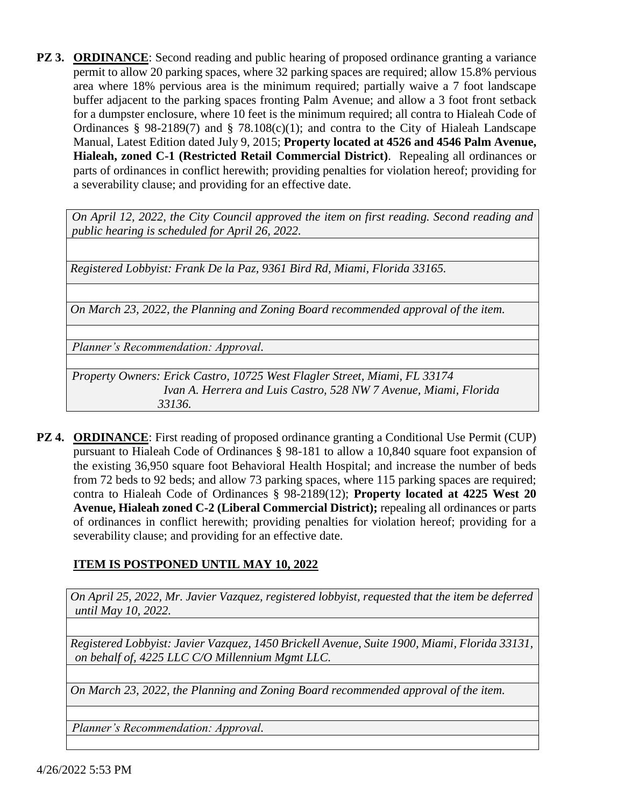**PZ 3. ORDINANCE:** Second reading and public hearing of proposed ordinance granting a variance permit to allow 20 parking spaces, where 32 parking spaces are required; allow 15.8% pervious area where 18% pervious area is the minimum required; partially waive a 7 foot landscape buffer adjacent to the parking spaces fronting Palm Avenue; and allow a 3 foot front setback for a dumpster enclosure, where 10 feet is the minimum required; all contra to Hialeah Code of Ordinances § 98-2189(7) and § 78.108(c)(1); and contra to the City of Hialeah Landscape Manual, Latest Edition dated July 9, 2015; **Property located at 4526 and 4546 Palm Avenue, Hialeah, zoned C-1 (Restricted Retail Commercial District)**. Repealing all ordinances or parts of ordinances in conflict herewith; providing penalties for violation hereof; providing for a severability clause; and providing for an effective date.

*On April 12, 2022, the City Council approved the item on first reading. Second reading and public hearing is scheduled for April 26, 2022.*

*Registered Lobbyist: Frank De la Paz, 9361 Bird Rd, Miami, Florida 33165.*

*On March 23, 2022, the Planning and Zoning Board recommended approval of the item.*

*Planner's Recommendation: Approval.*

*Property Owners: Erick Castro, 10725 West Flagler Street, Miami, FL 33174 Ivan A. Herrera and Luis Castro, 528 NW 7 Avenue, Miami, Florida 33136.*

**PZ 4. ORDINANCE**: First reading of proposed ordinance granting a Conditional Use Permit (CUP) pursuant to Hialeah Code of Ordinances § 98-181 to allow a 10,840 square foot expansion of the existing 36,950 square foot Behavioral Health Hospital; and increase the number of beds from 72 beds to 92 beds; and allow 73 parking spaces, where 115 parking spaces are required; contra to Hialeah Code of Ordinances § 98-2189(12); **Property located at 4225 West 20 Avenue, Hialeah zoned C-2 (Liberal Commercial District);** repealing all ordinances or parts of ordinances in conflict herewith; providing penalties for violation hereof; providing for a severability clause; and providing for an effective date.

#### **ITEM IS POSTPONED UNTIL MAY 10, 2022**

*On April 25, 2022, Mr. Javier Vazquez, registered lobbyist, requested that the item be deferred until May 10, 2022.*

*Registered Lobbyist: Javier Vazquez, 1450 Brickell Avenue, Suite 1900, Miami, Florida 33131, on behalf of, 4225 LLC C/O Millennium Mgmt LLC.*

*On March 23, 2022, the Planning and Zoning Board recommended approval of the item.*

*Planner's Recommendation: Approval.*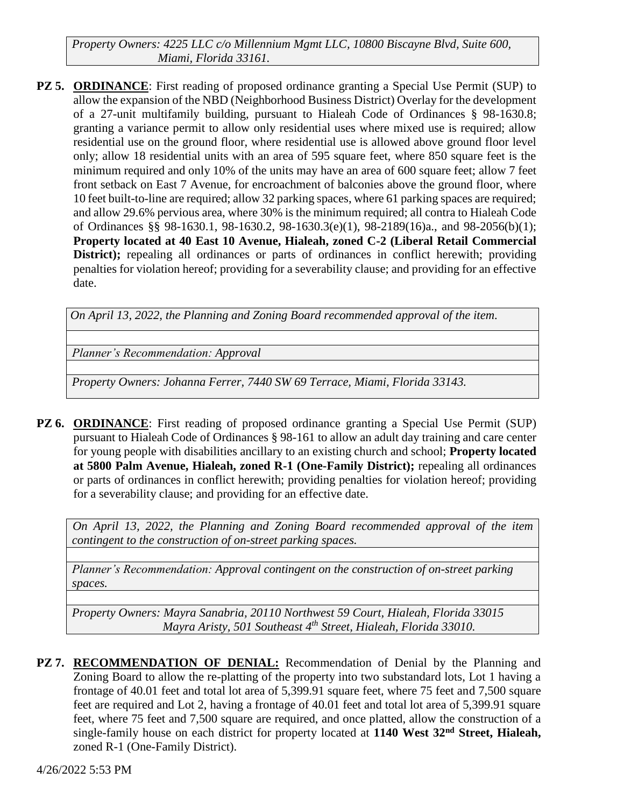*Property Owners: 4225 LLC c/o Millennium Mgmt LLC, 10800 Biscayne Blvd, Suite 600, Miami, Florida 33161.*

**PZ 5. ORDINANCE**: First reading of proposed ordinance granting a Special Use Permit (SUP) to allow the expansion of the NBD (Neighborhood Business District) Overlay for the development of a 27-unit multifamily building, pursuant to Hialeah Code of Ordinances § 98-1630.8; granting a variance permit to allow only residential uses where mixed use is required; allow residential use on the ground floor, where residential use is allowed above ground floor level only; allow 18 residential units with an area of 595 square feet, where 850 square feet is the minimum required and only 10% of the units may have an area of 600 square feet; allow 7 feet front setback on East 7 Avenue, for encroachment of balconies above the ground floor, where 10 feet built-to-line are required; allow 32 parking spaces, where 61 parking spaces are required; and allow 29.6% pervious area, where 30% is the minimum required; all contra to Hialeah Code of Ordinances §§ 98-1630.1, 98-1630.2, 98-1630.3(e)(1), 98-2189(16)a., and 98-2056(b)(1); **Property located at 40 East 10 Avenue, Hialeah, zoned C-2 (Liberal Retail Commercial District);** repealing all ordinances or parts of ordinances in conflict herewith; providing penalties for violation hereof; providing for a severability clause; and providing for an effective date.

*On April 13, 2022, the Planning and Zoning Board recommended approval of the item.*

*Planner's Recommendation: Approval*

*Property Owners: Johanna Ferrer, 7440 SW 69 Terrace, Miami, Florida 33143.*

**PZ 6. ORDINANCE**: First reading of proposed ordinance granting a Special Use Permit (SUP) pursuant to Hialeah Code of Ordinances § 98-161 to allow an adult day training and care center for young people with disabilities ancillary to an existing church and school; **Property located at 5800 Palm Avenue, Hialeah, zoned R-1 (One-Family District);** repealing all ordinances or parts of ordinances in conflict herewith; providing penalties for violation hereof; providing for a severability clause; and providing for an effective date.

*On April 13, 2022, the Planning and Zoning Board recommended approval of the item contingent to the construction of on-street parking spaces.*

*Planner's Recommendation: Approval contingent on the construction of on-street parking spaces.*

*Property Owners: Mayra Sanabria, 20110 Northwest 59 Court, Hialeah, Florida 33015 Mayra Aristy, 501 Southeast 4th Street, Hialeah, Florida 33010.*

**PZ 7. RECOMMENDATION OF DENIAL:** Recommendation of Denial by the Planning and Zoning Board to allow the re-platting of the property into two substandard lots, Lot 1 having a frontage of 40.01 feet and total lot area of 5,399.91 square feet, where 75 feet and 7,500 square feet are required and Lot 2, having a frontage of 40.01 feet and total lot area of 5,399.91 square feet, where 75 feet and 7,500 square are required, and once platted, allow the construction of a single-family house on each district for property located at **1140 West 32nd Street, Hialeah,** zoned R-1 (One-Family District).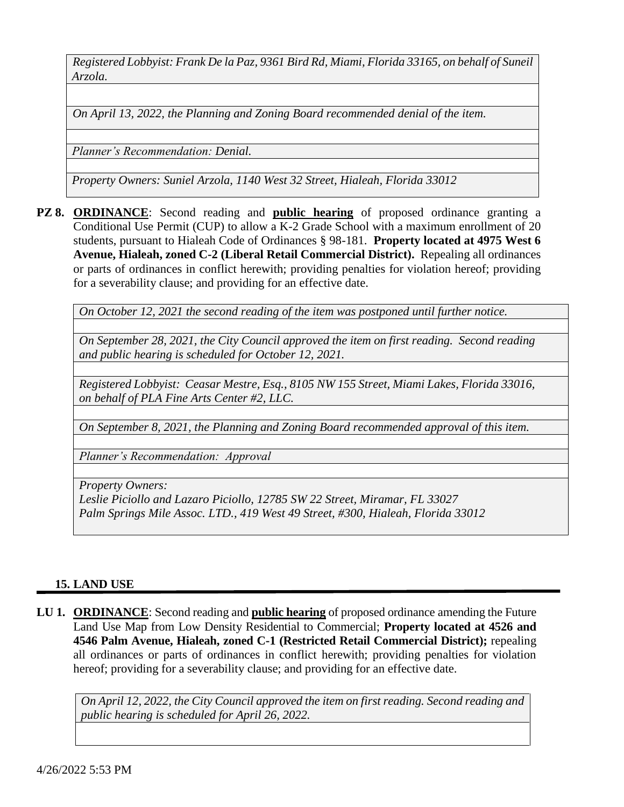*Registered Lobbyist: Frank De la Paz, 9361 Bird Rd, Miami, Florida 33165, on behalf of Suneil Arzola.*

*On April 13, 2022, the Planning and Zoning Board recommended denial of the item.*

*Planner's Recommendation: Denial.*

*Property Owners: Suniel Arzola, 1140 West 32 Street, Hialeah, Florida 33012*

**PZ 8. ORDINANCE**: Second reading and **public hearing** of proposed ordinance granting a Conditional Use Permit (CUP) to allow a K-2 Grade School with a maximum enrollment of 20 students, pursuant to Hialeah Code of Ordinances § 98-181. **Property located at 4975 West 6 Avenue, Hialeah, zoned C-2 (Liberal Retail Commercial District).** Repealing all ordinances or parts of ordinances in conflict herewith; providing penalties for violation hereof; providing for a severability clause; and providing for an effective date.

*On October 12, 2021 the second reading of the item was postponed until further notice.*

*On September 28, 2021, the City Council approved the item on first reading. Second reading and public hearing is scheduled for October 12, 2021.*

*Registered Lobbyist: Ceasar Mestre, Esq., 8105 NW 155 Street, Miami Lakes, Florida 33016, on behalf of PLA Fine Arts Center #2, LLC.*

*On September 8, 2021, the Planning and Zoning Board recommended approval of this item.*

*Planner's Recommendation: Approval*

*Property Owners:* 

*Leslie Piciollo and Lazaro Piciollo, 12785 SW 22 Street, Miramar, FL 33027 Palm Springs Mile Assoc. LTD., 419 West 49 Street, #300, Hialeah, Florida 33012*

#### **15. LAND USE**

**LU 1. ORDINANCE**: Second reading and **public hearing** of proposed ordinance amending the Future Land Use Map from Low Density Residential to Commercial; **Property located at 4526 and 4546 Palm Avenue, Hialeah, zoned C-1 (Restricted Retail Commercial District);** repealing all ordinances or parts of ordinances in conflict herewith; providing penalties for violation hereof; providing for a severability clause; and providing for an effective date.

*On April 12, 2022, the City Council approved the item on first reading. Second reading and public hearing is scheduled for April 26, 2022.*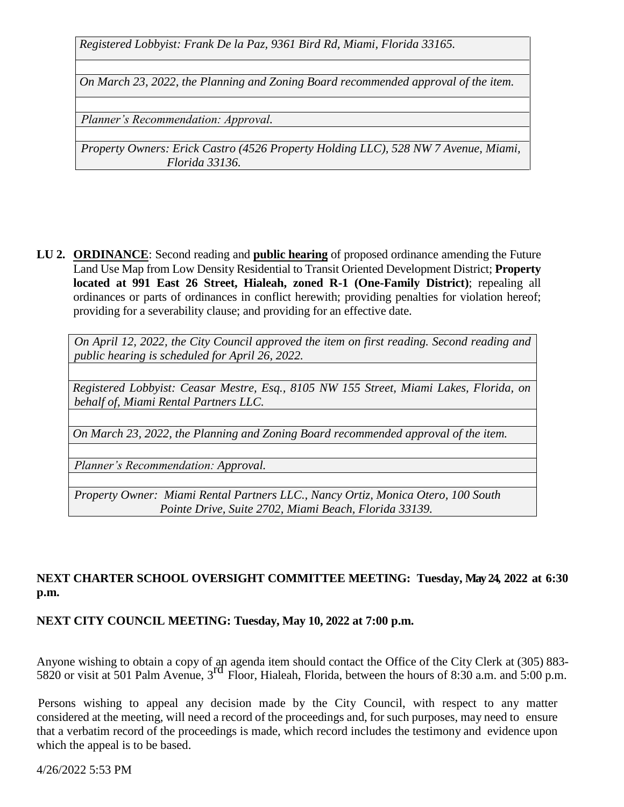*Registered Lobbyist: Frank De la Paz, 9361 Bird Rd, Miami, Florida 33165.*

*On March 23, 2022, the Planning and Zoning Board recommended approval of the item.*

*Planner's Recommendation: Approval.*

*Property Owners: Erick Castro (4526 Property Holding LLC), 528 NW 7 Avenue, Miami, Florida 33136.*

**LU 2. ORDINANCE**: Second reading and **public hearing** of proposed ordinance amending the Future Land Use Map from Low Density Residential to Transit Oriented Development District; **Property located at 991 East 26 Street, Hialeah, zoned R-1 (One-Family District)**; repealing all ordinances or parts of ordinances in conflict herewith; providing penalties for violation hereof; providing for a severability clause; and providing for an effective date.

*On April 12, 2022, the City Council approved the item on first reading. Second reading and public hearing is scheduled for April 26, 2022.*

*Registered Lobbyist: Ceasar Mestre, Esq., 8105 NW 155 Street, Miami Lakes, Florida, on behalf of, Miami Rental Partners LLC.*

*On March 23, 2022, the Planning and Zoning Board recommended approval of the item.*

*Planner's Recommendation: Approval.* 

*Property Owner: Miami Rental Partners LLC., Nancy Ortiz, Monica Otero, 100 South Pointe Drive, Suite 2702, Miami Beach, Florida 33139.*

# **NEXT CHARTER SCHOOL OVERSIGHT COMMITTEE MEETING: Tuesday, May 24, 2022 at 6:30 p.m.**

#### **NEXT CITY COUNCIL MEETING: Tuesday, May 10, 2022 at 7:00 p.m.**

Anyone wishing to obtain a copy of an agenda item should contact the Office of the City Clerk at (305) 883-  $5820$  or visit at 501 Palm Avenue,  $3<sup>rd</sup>$  Floor, Hialeah, Florida, between the hours of 8:30 a.m. and 5:00 p.m.

 Persons wishing to appeal any decision made by the City Council, with respect to any matter considered at the meeting, will need a record of the proceedings and, for such purposes, may need to ensure that a verbatim record of the proceedings is made, which record includes the testimony and evidence upon which the appeal is to be based.